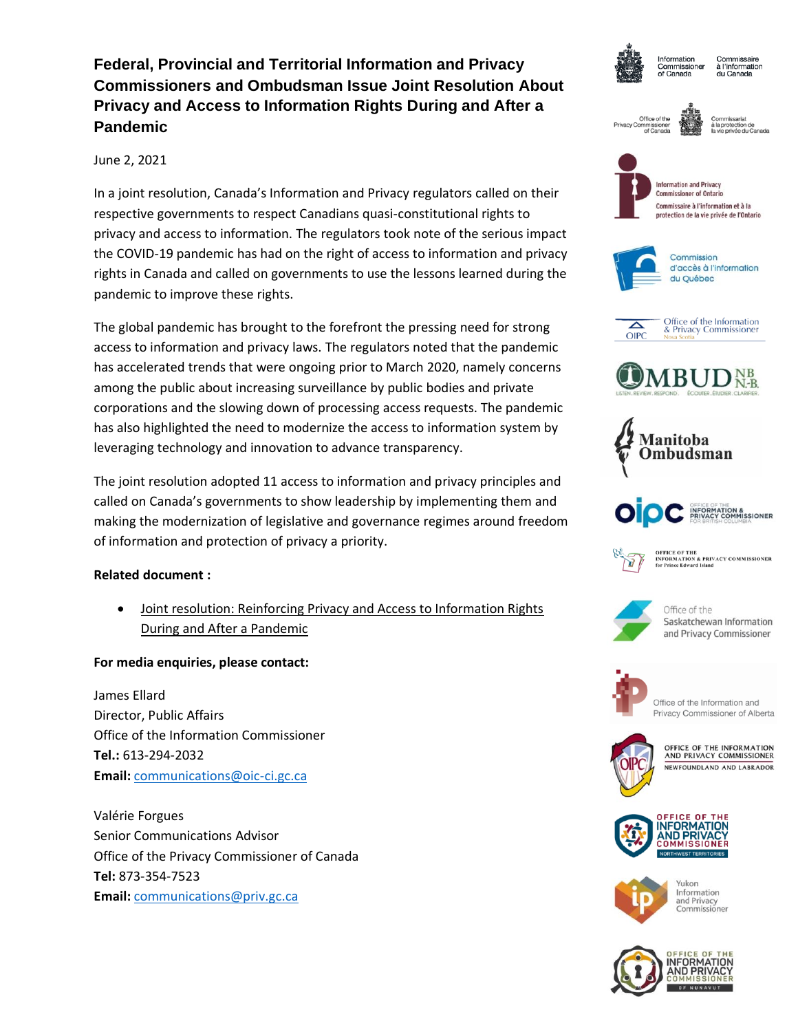# **Federal, Provincial and Territorial Information and Privacy Commissioners and Ombudsman Issue Joint Resolution About Privacy and Access to Information Rights During and After a Pandemic**

## June 2, 2021

In a joint resolution, Canada's Information and Privacy regulators called on their respective governments to respect Canadians quasi-constitutional rights to privacy and access to information. The regulators took note of the serious impact the COVID-19 pandemic has had on the right of access to information and privacy rights in Canada and called on governments to use the lessons learned during the pandemic to improve these rights.

The global pandemic has brought to the forefront the pressing need for strong access to information and privacy laws. The regulators noted that the pandemic has accelerated trends that were ongoing prior to March 2020, namely concerns among the public about increasing surveillance by public bodies and private corporations and the slowing down of processing access requests. The pandemic has also highlighted the need to modernize the access to information system by leveraging technology and innovation to advance transparency.

The joint resolution adopted 11 access to information and privacy principles and called on Canada's governments to show leadership by implementing them and making the modernization of legislative and governance regimes around freedom of information and protection of privacy a priority.

## **Related document :**

• Joint resolution: Reinforcing Privacy and Access to Information Rights During and After a Pandemic

## **For media enquiries, please contact:**

James Ellard Director, Public Affairs Office of the Information Commissioner **Tel.:** 613-294-2032 **Email:** [communications@oic-ci.gc.ca](mailto:communications@oic-ci.gc.ca)

Valérie Forgues Senior Communications Advisor Office of the Privacy Commissioner of Canada **Tel:** 873-354-7523 **Email:** [communications@priv.gc.ca](mailto:communications@priv.gc.ca)



Information Commissioner of Canada

Commissaire à l'information du Canada

Office of the





**Information and Privacy** Commissioner of Ontario Commissaire à l'information et à la protection de la vie privée de l'Ontario













**OFFICE OF THE INFORMATION & PRIVACY COMMISSIONER**<br>for Prince Edward Island



Office of the Saskatchewan Information and Privacy Commissioner



Office of the Information and Privacy Commissioner of Alberta



OFFICE OF THE INFORMATION AND PRIVACY COMMISSIONER NEWFOUNDLAND AND LABRADOR





Yukon Information and Privacy<br>Commissioner

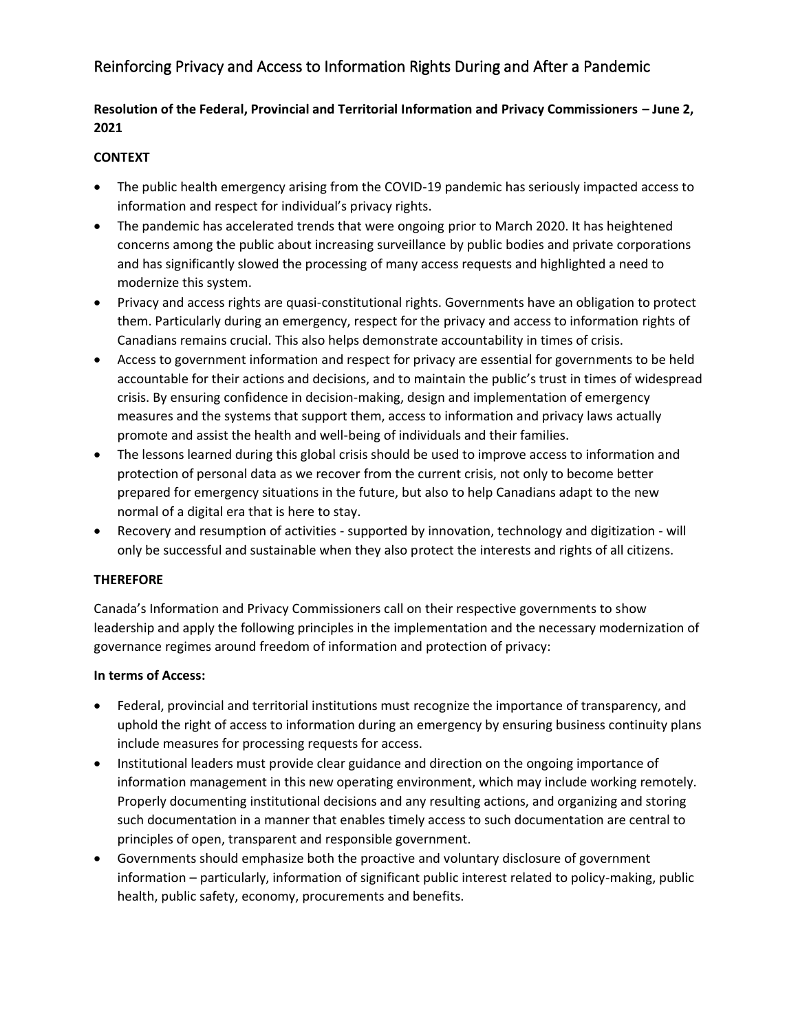## Reinforcing Privacy and Access to Information Rights During and After a Pandemic

## **Resolution of the Federal, Provincial and Territorial Information and Privacy Commissioners – June 2, 2021**

## **CONTEXT**

- The public health emergency arising from the COVID-19 pandemic has seriously impacted access to information and respect for individual's privacy rights.
- The pandemic has accelerated trends that were ongoing prior to March 2020. It has heightened concerns among the public about increasing surveillance by public bodies and private corporations and has significantly slowed the processing of many access requests and highlighted a need to modernize this system.
- Privacy and access rights are quasi-constitutional rights. Governments have an obligation to protect them. Particularly during an emergency, respect for the privacy and access to information rights of Canadians remains crucial. This also helps demonstrate accountability in times of crisis.
- Access to government information and respect for privacy are essential for governments to be held accountable for their actions and decisions, and to maintain the public's trust in times of widespread crisis. By ensuring confidence in decision-making, design and implementation of emergency measures and the systems that support them, access to information and privacy laws actually promote and assist the health and well-being of individuals and their families.
- The lessons learned during this global crisis should be used to improve access to information and protection of personal data as we recover from the current crisis, not only to become better prepared for emergency situations in the future, but also to help Canadians adapt to the new normal of a digital era that is here to stay.
- Recovery and resumption of activities supported by innovation, technology and digitization will only be successful and sustainable when they also protect the interests and rights of all citizens.

#### **THEREFORE**

Canada's Information and Privacy Commissioners call on their respective governments to show leadership and apply the following principles in the implementation and the necessary modernization of governance regimes around freedom of information and protection of privacy:

### **In terms of Access:**

- Federal, provincial and territorial institutions must recognize the importance of transparency, and uphold the right of access to information during an emergency by ensuring business continuity plans include measures for processing requests for access.
- Institutional leaders must provide clear guidance and direction on the ongoing importance of information management in this new operating environment, which may include working remotely. Properly documenting institutional decisions and any resulting actions, and organizing and storing such documentation in a manner that enables timely access to such documentation are central to principles of open, transparent and responsible government.
- Governments should emphasize both the proactive and voluntary disclosure of government information – particularly, information of significant public interest related to policy-making, public health, public safety, economy, procurements and benefits.